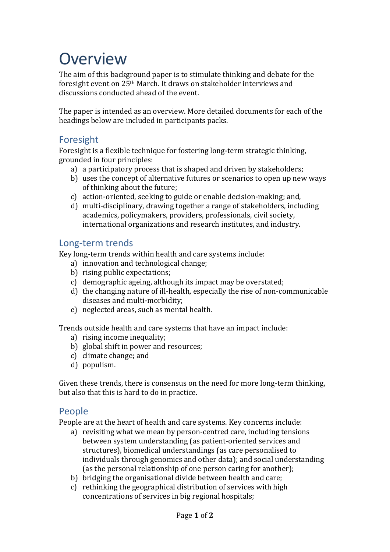# **Overview**

The aim of this background paper is to stimulate thinking and debate for the foresight event on 25th March. It draws on stakeholder interviews and discussions conducted ahead of the event.

The paper is intended as an overview. More detailed documents for each of the headings below are included in participants packs.

### Foresight

Foresight is a flexible technique for fostering long-term strategic thinking, grounded in four principles:

- a) a participatory process that is shaped and driven by stakeholders;
- b) uses the concept of alternative futures or scenarios to open up new ways of thinking about the future;
- c) action-oriented, seeking to guide or enable decision-making; and,
- d) multi-disciplinary, drawing together a range of stakeholders, including academics, policymakers, providers, professionals, civil society, international organizations and research institutes, and industry.

#### Long-term trends

Key long-term trends within health and care systems include:

- a) innovation and technological change;
- b) rising public expectations;
- c) demographic ageing, although its impact may be overstated;
- d) the changing nature of ill-health, especially the rise of non-communicable diseases and multi-morbidity;
- e) neglected areas, such as mental health.

Trends outside health and care systems that have an impact include:

- a) rising income inequality;
- b) global shift in power and resources;
- c) climate change; and
- d) populism.

Given these trends, there is consensus on the need for more long-term thinking, but also that this is hard to do in practice.

#### People

People are at the heart of health and care systems. Key concerns include:

- a) revisiting what we mean by person-centred care, including tensions between system understanding (as patient-oriented services and structures), biomedical understandings (as care personalised to individuals through genomics and other data); and social understanding (as the personal relationship of one person caring for another);
- b) bridging the organisational divide between health and care;
- c) rethinking the geographical distribution of services with high concentrations of services in big regional hospitals;